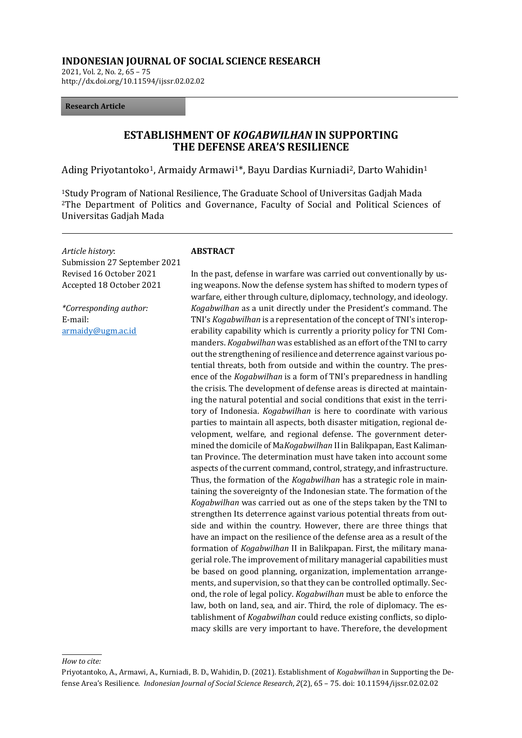#### **INDONESIAN JOURNAL OF SOCIAL SCIENCE RESEARCH**

2021, Vol. 2, No. 2, 65 – 75 http://dx.doi.org/10.11594/ijssr.02.02.02

#### **Research Article**

# **ESTABLISHMENT OF** *KOGABWILHAN* **IN SUPPORTING THE DEFENSE AREA'S RESILIENCE**

Ading Priyotantoko<sup>1</sup>, Armaidy Armawi<sup>1\*</sup>, Bayu Dardias Kurniadi<sup>2</sup>, Darto Wahidin<sup>1</sup>

<sup>1</sup>Study Program of National Resilience, The Graduate School of Universitas Gadjah Mada <sup>2</sup>The Department of Politics and Governance, Faculty of Social and Political Sciences of Universitas Gadjah Mada

*Article history*: Submission 27 September 2021 Revised 16 October 2021 Accepted 18 October 2021

*\*Corresponding author:* E-mail[:](mailto:armaidy@ugm.ac.id) [armaidy@ugm.ac.id](mailto:armaidy@ugm.ac.id)

#### **ABSTRACT**

In the past, defense in warfare was carried out conventionally by using weapons. Now the defense system has shifted to modern types of warfare, either through culture, diplomacy, technology, and ideology. *Kogabwilhan* as a unit directly under the President's command. The TNI's *Kogabwilhan* is a representation of the concept of TNI's interoperability capability which is currently a priority policy for TNI Commanders. *Kogabwilhan* was established as an effort of the TNI to carry out the strengthening of resilience and deterrence against various potential threats, both from outside and within the country. The presence of the *Kogabwilhan* is a form of TNI's preparedness in handling the crisis. The development of defense areas is directed at maintaining the natural potential and social conditions that exist in the territory of Indonesia. *Kogabwilhan* is here to coordinate with various parties to maintain all aspects, both disaster mitigation, regional development, welfare, and regional defense. The government determined the domicile of Ma*Kogabwilhan* II in Balikpapan, East Kalimantan Province. The determination must have taken into account some aspects of the current command, control, strategy, and infrastructure. Thus, the formation of the *Kogabwilhan* has a strategic role in maintaining the sovereignty of the Indonesian state. The formation of the *Kogabwilhan* was carried out as one of the steps taken by the TNI to strengthen Its deterrence against various potential threats from outside and within the country. However, there are three things that have an impact on the resilience of the defense area as a result of the formation of *Kogabwilhan* II in Balikpapan. First, the military managerial role. The improvement of military managerial capabilities must be based on good planning, organization, implementation arrangements, and supervision, so that they can be controlled optimally. Second, the role of legal policy. *Kogabwilhan* must be able to enforce the law, both on land, sea, and air. Third, the role of diplomacy. The establishment of *Kogabwilhan* could reduce existing conflicts, so diplomacy skills are very important to have. Therefore, the development

*How to cite:*

Priyotantoko, A., Armawi, A., Kurniadi, B. D., Wahidin, D. (2021). Establishment of *Kogabwilhan* in Supporting the Defense Area's Resilience. *Indonesian Journal of Social Science Research*, *2*(2), 65 – 75. doi: 10.11594/ijssr.02.02.02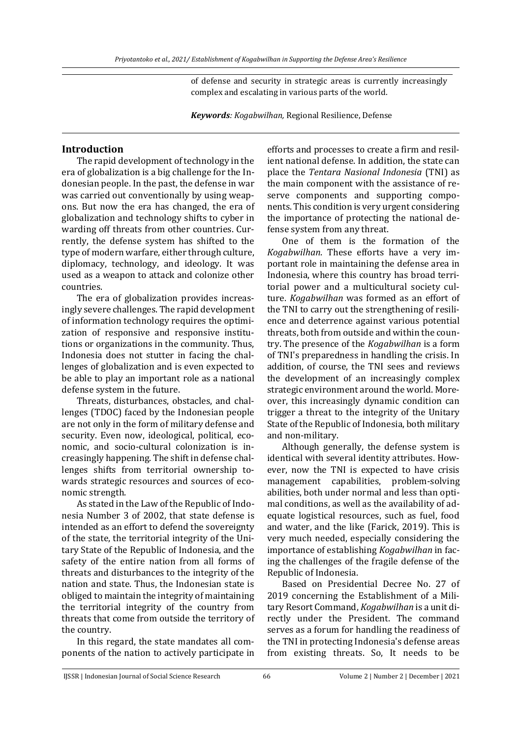of defense and security in strategic areas is currently increasingly complex and escalating in various parts of the world.

*Keywords: Kogabwilhan,* Regional Resilience, Defense

## **Introduction**

The rapid development of technology in the era of globalization is a big challenge for the Indonesian people. In the past, the defense in war was carried out conventionally by using weapons. But now the era has changed, the era of globalization and technology shifts to cyber in warding off threats from other countries. Currently, the defense system has shifted to the type of modern warfare, either through culture, diplomacy, technology, and ideology. It was used as a weapon to attack and colonize other countries.

The era of globalization provides increasingly severe challenges. The rapid development of information technology requires the optimization of responsive and responsive institutions or organizations in the community. Thus, Indonesia does not stutter in facing the challenges of globalization and is even expected to be able to play an important role as a national defense system in the future.

Threats, disturbances, obstacles, and challenges (TDOC) faced by the Indonesian people are not only in the form of military defense and security. Even now, ideological, political, economic, and socio-cultural colonization is increasingly happening. The shift in defense challenges shifts from territorial ownership towards strategic resources and sources of economic strength.

As stated in the Law of the Republic of Indonesia Number 3 of 2002, that state defense is intended as an effort to defend the sovereignty of the state, the territorial integrity of the Unitary State of the Republic of Indonesia, and the safety of the entire nation from all forms of threats and disturbances to the integrity of the nation and state. Thus, the Indonesian state is obliged to maintain the integrity of maintaining the territorial integrity of the country from threats that come from outside the territory of the country.

In this regard, the state mandates all components of the nation to actively participate in

efforts and processes to create a firm and resilient national defense. In addition, the state can place the *Tentara Nasional Indonesia* (TNI) as the main component with the assistance of reserve components and supporting components. This condition is very urgent considering the importance of protecting the national defense system from any threat.

One of them is the formation of the *Kogabwilhan*. These efforts have a very important role in maintaining the defense area in Indonesia, where this country has broad territorial power and a multicultural society culture. *Kogabwilhan* was formed as an effort of the TNI to carry out the strengthening of resilience and deterrence against various potential threats, both from outside and within the country. The presence of the *Kogabwilhan* is a form of TNI's preparedness in handling the crisis. In addition, of course, the TNI sees and reviews the development of an increasingly complex strategic environment around the world. Moreover, this increasingly dynamic condition can trigger a threat to the integrity of the Unitary State of the Republic of Indonesia, both military and non-military.

Although generally, the defense system is identical with several identity attributes. However, now the TNI is expected to have crisis management capabilities, problem-solving abilities, both under normal and less than optimal conditions, as well as the availability of adequate logistical resources, such as fuel, food and water, and the like (Farick, 2019). This is very much needed, especially considering the importance of establishing *Kogabwilhan* in facing the challenges of the fragile defense of the Republic of Indonesia.

Based on Presidential Decree No. 27 of 2019 concerning the Establishment of a Military Resort Command, *Kogabwilhan* is a unit directly under the President. The command serves as a forum for handling the readiness of the TNI in protecting Indonesia's defense areas from existing threats. So, It needs to be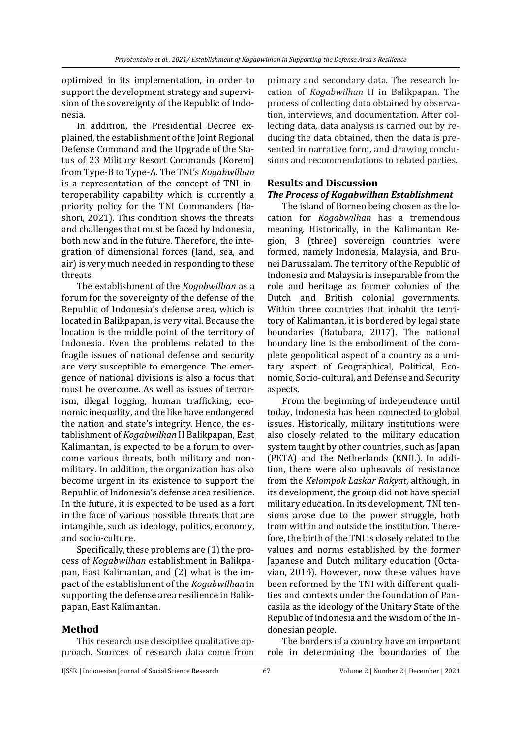optimized in its implementation, in order to support the development strategy and supervision of the sovereignty of the Republic of Indonesia.

In addition, the Presidential Decree explained, the establishment of the Joint Regional Defense Command and the Upgrade of the Status of 23 Military Resort Commands (Korem) from Type-B to Type-A. The TNI's *Kogabwilhan* is a representation of the concept of TNI interoperability capability which is currently a priority policy for the TNI Commanders (Bashori, 2021). This condition shows the threats and challenges that must be faced by Indonesia, both now and in the future. Therefore, the integration of dimensional forces (land, sea, and air) is very much needed in responding to these threats.

The establishment of the *Kogabwilhan* as a forum for the sovereignty of the defense of the Republic of Indonesia's defense area, which is located in Balikpapan, is very vital. Because the location is the middle point of the territory of Indonesia. Even the problems related to the fragile issues of national defense and security are very susceptible to emergence. The emergence of national divisions is also a focus that must be overcome. As well as issues of terrorism, illegal logging, human trafficking, economic inequality, and the like have endangered the nation and state's integrity. Hence, the establishment of *Kogabwilhan* II Balikpapan, East Kalimantan, is expected to be a forum to overcome various threats, both military and nonmilitary. In addition, the organization has also become urgent in its existence to support the Republic of Indonesia's defense area resilience. In the future, it is expected to be used as a fort in the face of various possible threats that are intangible, such as ideology, politics, economy, and socio-culture.

Specifically, these problems are (1) the process of *Kogabwilhan* establishment in Balikpapan, East Kalimantan, and (2) what is the impact of the establishment of the *Kogabwilhan* in supporting the defense area resilience in Balikpapan, East Kalimantan.

# **Method**

This research use desciptive qualitative approach. Sources of research data come from

primary and secondary data. The research location of *Kogabwilhan* II in Balikpapan. The process of collecting data obtained by observation, interviews, and documentation. After collecting data, data analysis is carried out by reducing the data obtained, then the data is presented in narrative form, and drawing conclusions and recommendations to related parties.

### **Results and Discussion** *The Process of Kogabwilhan Establishment*

The island of Borneo being chosen as the location for *Kogabwilhan* has a tremendous meaning. Historically, in the Kalimantan Region, 3 (three) sovereign countries were formed, namely Indonesia, Malaysia, and Brunei Darussalam. The territory of the Republic of Indonesia and Malaysia is inseparable from the role and heritage as former colonies of the Dutch and British colonial governments. Within three countries that inhabit the territory of Kalimantan, it is bordered by legal state boundaries (Batubara, 2017). The national boundary line is the embodiment of the complete geopolitical aspect of a country as a unitary aspect of Geographical, Political, Economic, Socio-cultural, and Defense and Security aspects.

From the beginning of independence until today, Indonesia has been connected to global issues. Historically, military institutions were also closely related to the military education system taught by other countries, such as Japan (PETA) and the Netherlands (KNIL). In addition, there were also upheavals of resistance from the *Kelompok Laskar Rakyat*, although, in its development, the group did not have special military education. In its development, TNI tensions arose due to the power struggle, both from within and outside the institution. Therefore, the birth of the TNI is closely related to the values and norms established by the former Japanese and Dutch military education (Octavian, 2014). However, now these values have been reformed by the TNI with different qualities and contexts under the foundation of Pancasila as the ideology of the Unitary State of the Republic of Indonesia and the wisdom of the Indonesian people.

The borders of a country have an important role in determining the boundaries of the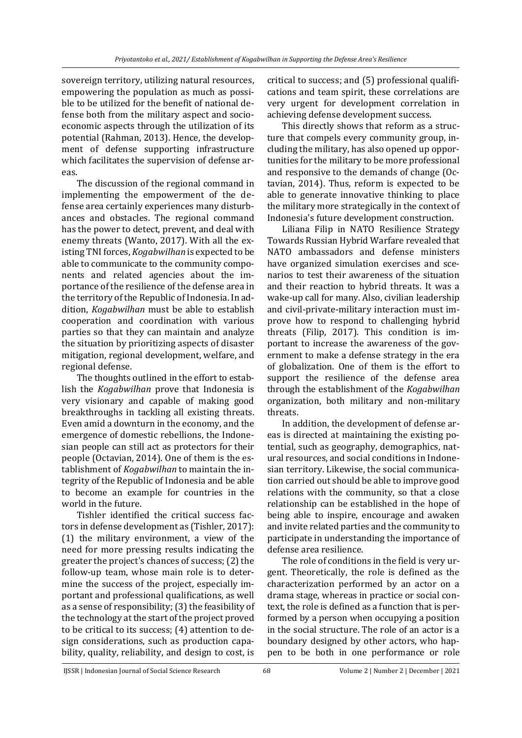sovereign territory, utilizing natural resources, empowering the population as much as possible to be utilized for the benefit of national defense both from the military aspect and socioeconomic aspects through the utilization of its potential (Rahman, 2013). Hence, the development of defense supporting infrastructure which facilitates the supervision of defense areas.

The discussion of the regional command in implementing the empowerment of the defense area certainly experiences many disturbances and obstacles. The regional command has the power to detect, prevent, and deal with enemy threats (Wanto, 2017). With all the existing TNI forces, *Kogabwilhan* is expected to be able to communicate to the community components and related agencies about the importance of the resilience of the defense area in the territory of the Republic of Indonesia. In addition, *Kogabwilhan* must be able to establish cooperation and coordination with various parties so that they can maintain and analyze the situation by prioritizing aspects of disaster mitigation, regional development, welfare, and regional defense.

The thoughts outlined in the effort to establish the *Kogabwilhan* prove that Indonesia is very visionary and capable of making good breakthroughs in tackling all existing threats. Even amid a downturn in the economy, and the emergence of domestic rebellions, the Indonesian people can still act as protectors for their people (Octavian, 2014). One of them is the establishment of *Kogabwilhan* to maintain the integrity of the Republic of Indonesia and be able to become an example for countries in the world in the future.

Tishler identified the critical success factors in defense development as (Tishler, 2017): (1) the military environment, a view of the need for more pressing results indicating the greater the project's chances of success; (2) the follow-up team, whose main role is to determine the success of the project, especially important and professional qualifications, as well as a sense of responsibility; (3) the feasibility of the technology at the start of the project proved to be critical to its success; (4) attention to design considerations, such as production capability, quality, reliability, and design to cost, is

critical to success; and (5) professional qualifications and team spirit, these correlations are very urgent for development correlation in achieving defense development success.

This directly shows that reform as a structure that compels every community group, including the military, has also opened up opportunities for the military to be more professional and responsive to the demands of change (Octavian, 2014). Thus, reform is expected to be able to generate innovative thinking to place the military more strategically in the context of Indonesia's future development construction.

Liliana Filip in NATO Resilience Strategy Towards Russian Hybrid Warfare revealed that NATO ambassadors and defense ministers have organized simulation exercises and scenarios to test their awareness of the situation and their reaction to hybrid threats. It was a wake-up call for many. Also, civilian leadership and civil-private-military interaction must improve how to respond to challenging hybrid threats (Filip, 2017). This condition is important to increase the awareness of the government to make a defense strategy in the era of globalization. One of them is the effort to support the resilience of the defense area through the establishment of the *Kogabwilhan* organization, both military and non-military threats.

In addition, the development of defense areas is directed at maintaining the existing potential, such as geography, demographics, natural resources, and social conditions in Indonesian territory. Likewise, the social communication carried out should be able to improve good relations with the community, so that a close relationship can be established in the hope of being able to inspire, encourage and awaken and invite related parties and the community to participate in understanding the importance of defense area resilience.

The role of conditions in the field is very urgent. Theoretically, the role is defined as the characterization performed by an actor on a drama stage, whereas in practice or social context, the role is defined as a function that is performed by a person when occupying a position in the social structure. The role of an actor is a boundary designed by other actors, who happen to be both in one performance or role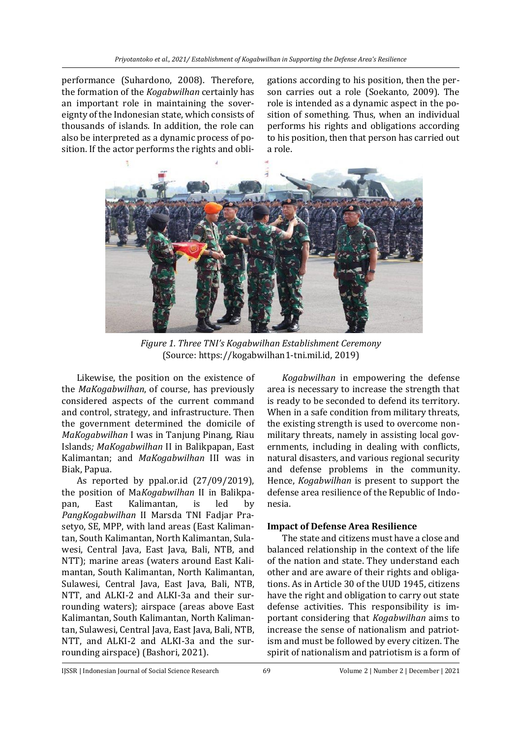performance (Suhardono, 2008). Therefore, the formation of the *Kogabwilhan* certainly has an important role in maintaining the sovereignty of the Indonesian state, which consists of thousands of islands. In addition, the role can also be interpreted as a dynamic process of position. If the actor performs the rights and obli-

gations according to his position, then the person carries out a role (Soekanto, 2009). The role is intended as a dynamic aspect in the position of something. Thus, when an individual performs his rights and obligations according to his position, then that person has carried out a role.



*Figure 1. Three TNI's Kogabwilhan Establishment Ceremony*  (Source: [https://kogabwilhan1-tni.mil.id,](about:blank) 2019)

Likewise, the position on the existence of the *MaKogabwilhan*, of course, has previously considered aspects of the current command and control, strategy, and infrastructure. Then the government determined the domicile of *MaKogabwilhan* I was in Tanjung Pinang, Riau Islands*; MaKogabwilhan* II in Balikpapan, East Kalimantan; and *MaKogabwilhan* III was in Biak, Papua.

As reported by ppal.or.id (27/09/2019), the position of Ma*Kogabwilhan* II in Balikpapan, East Kalimantan, is led by *PangKogabwilhan* II Marsda TNI Fadjar Prasetyo, SE, MPP, with land areas (East Kalimantan, South Kalimantan, North Kalimantan, Sulawesi, Central Java, East Java, Bali, NTB, and NTT); marine areas (waters around East Kalimantan, South Kalimantan, North Kalimantan, Sulawesi, Central Java, East Java, Bali, NTB, NTT, and ALKI-2 and ALKI-3a and their surrounding waters); airspace (areas above East Kalimantan, South Kalimantan, North Kalimantan, Sulawesi, Central Java, East Java, Bali, NTB, NTT, and ALKI-2 and ALKI-3a and the surrounding airspace) (Bashori, 2021).

*Kogabwilhan* in empowering the defense area is necessary to increase the strength that is ready to be seconded to defend its territory. When in a safe condition from military threats, the existing strength is used to overcome nonmilitary threats, namely in assisting local governments, including in dealing with conflicts, natural disasters, and various regional security and defense problems in the community. Hence, *Kogabwilhan* is present to support the defense area resilience of the Republic of Indonesia.

# **Impact of Defense Area Resilience**

The state and citizens must have a close and balanced relationship in the context of the life of the nation and state. They understand each other and are aware of their rights and obligations. As in Article 30 of the UUD 1945, citizens have the right and obligation to carry out state defense activities. This responsibility is important considering that *Kogabwilhan* aims to increase the sense of nationalism and patriotism and must be followed by every citizen. The spirit of nationalism and patriotism is a form of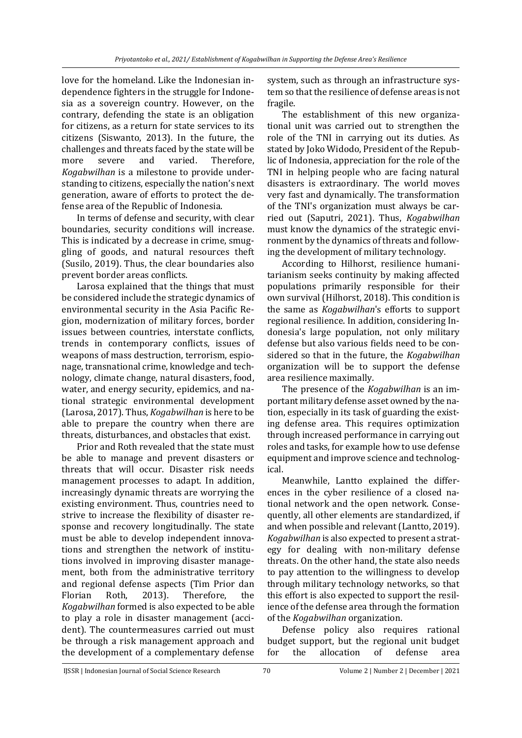love for the homeland. Like the Indonesian independence fighters in the struggle for Indonesia as a sovereign country. However, on the contrary, defending the state is an obligation for citizens, as a return for state services to its citizens (Siswanto, 2013). In the future, the challenges and threats faced by the state will be more severe and varied. Therefore, *Kogabwilhan* is a milestone to provide understanding to citizens, especially the nation's next generation, aware of efforts to protect the defense area of the Republic of Indonesia.

In terms of defense and security, with clear boundaries, security conditions will increase. This is indicated by a decrease in crime, smuggling of goods, and natural resources theft (Susilo, 2019). Thus, the clear boundaries also prevent border areas conflicts.

Larosa explained that the things that must be considered include the strategic dynamics of environmental security in the Asia Pacific Region, modernization of military forces, border issues between countries, interstate conflicts, trends in contemporary conflicts, issues of weapons of mass destruction, terrorism, espionage, transnational crime, knowledge and technology, climate change, natural disasters, food, water, and energy security, epidemics, and national strategic environmental development (Larosa, 2017). Thus, *Kogabwilhan* is here to be able to prepare the country when there are threats, disturbances, and obstacles that exist.

Prior and Roth revealed that the state must be able to manage and prevent disasters or threats that will occur. Disaster risk needs management processes to adapt. In addition, increasingly dynamic threats are worrying the existing environment. Thus, countries need to strive to increase the flexibility of disaster response and recovery longitudinally. The state must be able to develop independent innovations and strengthen the network of institutions involved in improving disaster management, both from the administrative territory and regional defense aspects (Tim Prior dan Florian Roth, 2013). Therefore, the *Kogabwilhan* formed is also expected to be able to play a role in disaster management (accident). The countermeasures carried out must be through a risk management approach and the development of a complementary defense

system, such as through an infrastructure system so that the resilience of defense areas is not fragile.

The establishment of this new organizational unit was carried out to strengthen the role of the TNI in carrying out its duties. As stated by Joko Widodo, President of the Republic of Indonesia, appreciation for the role of the TNI in helping people who are facing natural disasters is extraordinary. The world moves very fast and dynamically. The transformation of the TNI's organization must always be carried out (Saputri, 2021). Thus, *Kogabwilhan* must know the dynamics of the strategic environment by the dynamics of threats and following the development of military technology.

According to Hilhorst, resilience humanitarianism seeks continuity by making affected populations primarily responsible for their own survival (Hilhorst, 2018). This condition is the same as *Kogabwilhan*'s efforts to support regional resilience. In addition, considering Indonesia's large population, not only military defense but also various fields need to be considered so that in the future, the *Kogabwilhan* organization will be to support the defense area resilience maximally.

The presence of the *Kogabwilhan* is an important military defense asset owned by the nation, especially in its task of guarding the existing defense area. This requires optimization through increased performance in carrying out roles and tasks, for example how to use defense equipment and improve science and technological.

Meanwhile, Lantto explained the differences in the cyber resilience of a closed national network and the open network. Consequently, all other elements are standardized, if and when possible and relevant (Lantto, 2019). *Kogabwilhan* is also expected to present a strategy for dealing with non-military defense threats. On the other hand, the state also needs to pay attention to the willingness to develop through military technology networks, so that this effort is also expected to support the resilience of the defense area through the formation of the *Kogabwilhan* organization.

Defense policy also requires rational budget support, but the regional unit budget for the allocation of defense area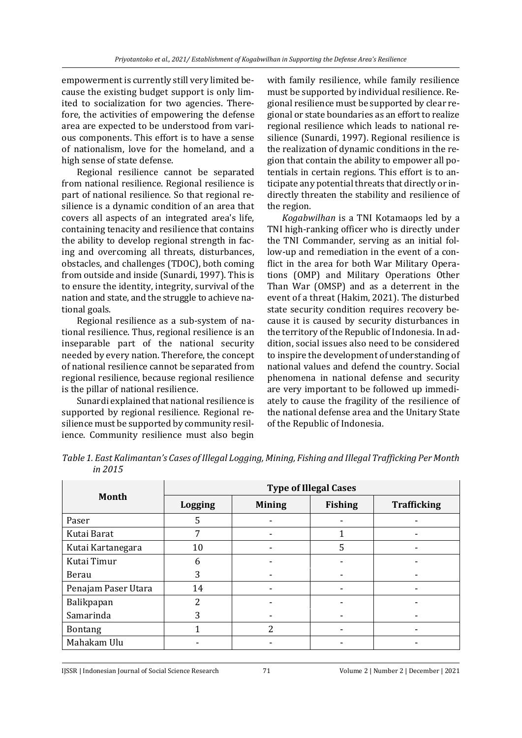empowerment is currently still very limited because the existing budget support is only limited to socialization for two agencies. Therefore, the activities of empowering the defense area are expected to be understood from various components. This effort is to have a sense of nationalism, love for the homeland, and a high sense of state defense.

Regional resilience cannot be separated from national resilience. Regional resilience is part of national resilience. So that regional resilience is a dynamic condition of an area that covers all aspects of an integrated area's life, containing tenacity and resilience that contains the ability to develop regional strength in facing and overcoming all threats, disturbances, obstacles, and challenges (TDOC), both coming from outside and inside (Sunardi, 1997). This is to ensure the identity, integrity, survival of the nation and state, and the struggle to achieve national goals.

Regional resilience as a sub-system of national resilience. Thus, regional resilience is an inseparable part of the national security needed by every nation. Therefore, the concept of national resilience cannot be separated from regional resilience, because regional resilience is the pillar of national resilience.

Sunardi explained that national resilience is supported by regional resilience. Regional resilience must be supported by community resilience. Community resilience must also begin

with family resilience, while family resilience must be supported by individual resilience. Regional resilience must be supported by clear regional or state boundaries as an effort to realize regional resilience which leads to national resilience (Sunardi, 1997). Regional resilience is the realization of dynamic conditions in the region that contain the ability to empower all potentials in certain regions. This effort is to anticipate any potential threats that directly or indirectly threaten the stability and resilience of the region.

*Kogabwilhan* is a TNI Kotamaops led by a TNI high-ranking officer who is directly under the TNI Commander, serving as an initial follow-up and remediation in the event of a conflict in the area for both War Military Operations (OMP) and Military Operations Other Than War (OMSP) and as a deterrent in the event of a threat (Hakim, 2021). The disturbed state security condition requires recovery because it is caused by security disturbances in the territory of the Republic of Indonesia. In addition, social issues also need to be considered to inspire the development of understanding of national values and defend the country. Social phenomena in national defense and security are very important to be followed up immediately to cause the fragility of the resilience of the national defense area and the Unitary State of the Republic of Indonesia.

*Table 1. East Kalimantan's Cases of Illegal Logging, Mining, Fishing and Illegal Trafficking Per Month in 2015*

| Month               | <b>Type of Illegal Cases</b> |               |                |                    |  |
|---------------------|------------------------------|---------------|----------------|--------------------|--|
|                     | <b>Logging</b>               | <b>Mining</b> | <b>Fishing</b> | <b>Trafficking</b> |  |
| Paser               | 5                            |               |                |                    |  |
| Kutai Barat         | 7                            |               |                |                    |  |
| Kutai Kartanegara   | 10                           |               | 5              |                    |  |
| Kutai Timur         | 6                            |               |                |                    |  |
| Berau               | 3                            |               |                |                    |  |
| Penajam Paser Utara | 14                           |               |                |                    |  |
| Balikpapan          | 2                            | -             |                |                    |  |
| Samarinda           | 3                            |               |                |                    |  |
| <b>Bontang</b>      |                              | 2             |                |                    |  |
| Mahakam Ulu         |                              |               |                |                    |  |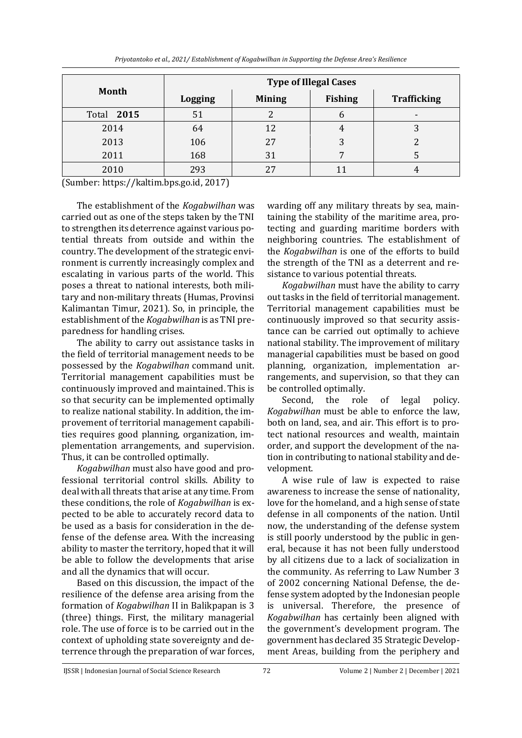|  |  |  |  | Priyotantoko et al., 2021/ Establishment of Kogabwilhan in Supporting the Defense Area's Resilience |
|--|--|--|--|-----------------------------------------------------------------------------------------------------|
|--|--|--|--|-----------------------------------------------------------------------------------------------------|

| Month      | <b>Type of Illegal Cases</b> |               |                |                    |  |
|------------|------------------------------|---------------|----------------|--------------------|--|
|            | <b>Logging</b>               | <b>Mining</b> | <b>Fishing</b> | <b>Trafficking</b> |  |
| Total 2015 | 51                           |               |                | -                  |  |
| 2014       | 64                           |               |                |                    |  |
| 2013       | 106                          | 27            | 3              |                    |  |
| 2011       | 168                          | 31            |                |                    |  |
| 2010       | 293                          |               |                |                    |  |

(Sumber[: https://kaltim.bps.go.id,](https://kaltim.bps.go.id/) 2017)

The establishment of the *Kogabwilhan* was carried out as one of the steps taken by the TNI to strengthen its deterrence against various potential threats from outside and within the country. The development of the strategic environment is currently increasingly complex and escalating in various parts of the world. This poses a threat to national interests, both military and non-military threats (Humas, Provinsi Kalimantan Timur, 2021). So, in principle, the establishment of the *Kogabwilhan* is as TNI preparedness for handling crises.

The ability to carry out assistance tasks in the field of territorial management needs to be possessed by the *Kogabwilhan* command unit. Territorial management capabilities must be continuously improved and maintained. This is so that security can be implemented optimally to realize national stability. In addition, the improvement of territorial management capabilities requires good planning, organization, implementation arrangements, and supervision. Thus, it can be controlled optimally.

*Kogabwilhan* must also have good and professional territorial control skills. Ability to deal with all threats that arise at any time. From these conditions, the role of *Kogabwilhan* is expected to be able to accurately record data to be used as a basis for consideration in the defense of the defense area. With the increasing ability to master the territory, hoped that it will be able to follow the developments that arise and all the dynamics that will occur.

Based on this discussion, the impact of the resilience of the defense area arising from the formation of *Kogabwilhan* II in Balikpapan is 3 (three) things. First, the military managerial role. The use of force is to be carried out in the context of upholding state sovereignty and deterrence through the preparation of war forces, warding off any military threats by sea, maintaining the stability of the maritime area, protecting and guarding maritime borders with neighboring countries. The establishment of the *Kogabwilhan* is one of the efforts to build the strength of the TNI as a deterrent and resistance to various potential threats.

*Kogabwilhan* must have the ability to carry out tasks in the field of territorial management. Territorial management capabilities must be continuously improved so that security assistance can be carried out optimally to achieve national stability. The improvement of military managerial capabilities must be based on good planning, organization, implementation arrangements, and supervision, so that they can be controlled optimally.

Second, the role of legal policy. *Kogabwilhan* must be able to enforce the law, both on land, sea, and air. This effort is to protect national resources and wealth, maintain order, and support the development of the nation in contributing to national stability and development.

A wise rule of law is expected to raise awareness to increase the sense of nationality, love for the homeland, and a high sense of state defense in all components of the nation. Until now, the understanding of the defense system is still poorly understood by the public in general, because it has not been fully understood by all citizens due to a lack of socialization in the community. As referring to Law Number 3 of 2002 concerning National Defense, the defense system adopted by the Indonesian people is universal. Therefore, the presence of *Kogabwilhan* has certainly been aligned with the government's development program. The government has declared 35 Strategic Development Areas, building from the periphery and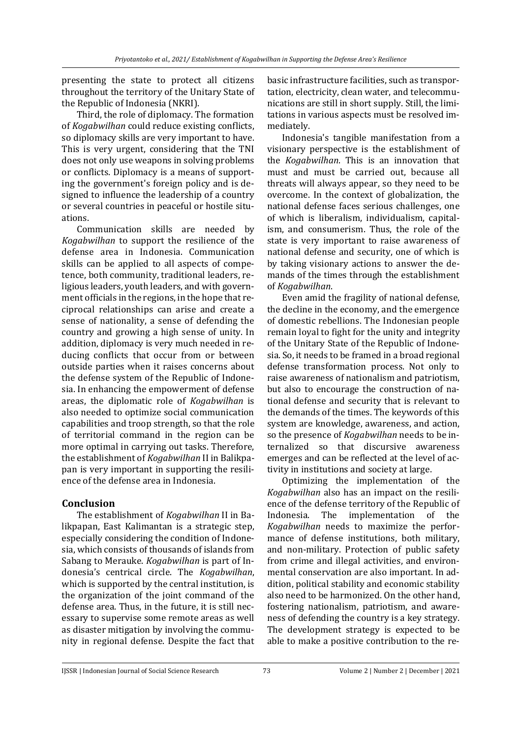presenting the state to protect all citizens throughout the territory of the Unitary State of the Republic of Indonesia (NKRI).

Third, the role of diplomacy. The formation of *Kogabwilhan* could reduce existing conflicts, so diplomacy skills are very important to have. This is very urgent, considering that the TNI does not only use weapons in solving problems or conflicts. Diplomacy is a means of supporting the government's foreign policy and is designed to influence the leadership of a country or several countries in peaceful or hostile situations.

Communication skills are needed by *Kogabwilhan* to support the resilience of the defense area in Indonesia. Communication skills can be applied to all aspects of competence, both community, traditional leaders, religious leaders, youth leaders, and with government officials in the regions, in the hope that reciprocal relationships can arise and create a sense of nationality, a sense of defending the country and growing a high sense of unity. In addition, diplomacy is very much needed in reducing conflicts that occur from or between outside parties when it raises concerns about the defense system of the Republic of Indonesia. In enhancing the empowerment of defense areas, the diplomatic role of *Kogabwilhan* is also needed to optimize social communication capabilities and troop strength, so that the role of territorial command in the region can be more optimal in carrying out tasks. Therefore, the establishment of *Kogabwilhan* II in Balikpapan is very important in supporting the resilience of the defense area in Indonesia.

### **Conclusion**

The establishment of *Kogabwilhan* II in Balikpapan, East Kalimantan is a strategic step, especially considering the condition of Indonesia, which consists of thousands of islands from Sabang to Merauke. *Kogabwilhan* is part of Indonesia's centrical circle. The *Kogabwilhan*, which is supported by the central institution, is the organization of the joint command of the defense area. Thus, in the future, it is still necessary to supervise some remote areas as well as disaster mitigation by involving the community in regional defense. Despite the fact that

basic infrastructure facilities, such as transportation, electricity, clean water, and telecommunications are still in short supply. Still, the limitations in various aspects must be resolved immediately.

Indonesia's tangible manifestation from a visionary perspective is the establishment of the *Kogabwilhan*. This is an innovation that must and must be carried out, because all threats will always appear, so they need to be overcome. In the context of globalization, the national defense faces serious challenges, one of which is liberalism, individualism, capitalism, and consumerism. Thus, the role of the state is very important to raise awareness of national defense and security, one of which is by taking visionary actions to answer the demands of the times through the establishment of *Kogabwilhan*.

Even amid the fragility of national defense, the decline in the economy, and the emergence of domestic rebellions. The Indonesian people remain loyal to fight for the unity and integrity of the Unitary State of the Republic of Indonesia. So, it needs to be framed in a broad regional defense transformation process. Not only to raise awareness of nationalism and patriotism, but also to encourage the construction of national defense and security that is relevant to the demands of the times. The keywords of this system are knowledge, awareness, and action, so the presence of *Kogabwilhan* needs to be internalized so that discursive awareness emerges and can be reflected at the level of activity in institutions and society at large.

Optimizing the implementation of the *Kogabwilhan* also has an impact on the resilience of the defense territory of the Republic of Indonesia. The implementation of the *Kogabwilhan* needs to maximize the performance of defense institutions, both military, and non-military. Protection of public safety from crime and illegal activities, and environmental conservation are also important. In addition, political stability and economic stability also need to be harmonized. On the other hand, fostering nationalism, patriotism, and awareness of defending the country is a key strategy. The development strategy is expected to be able to make a positive contribution to the re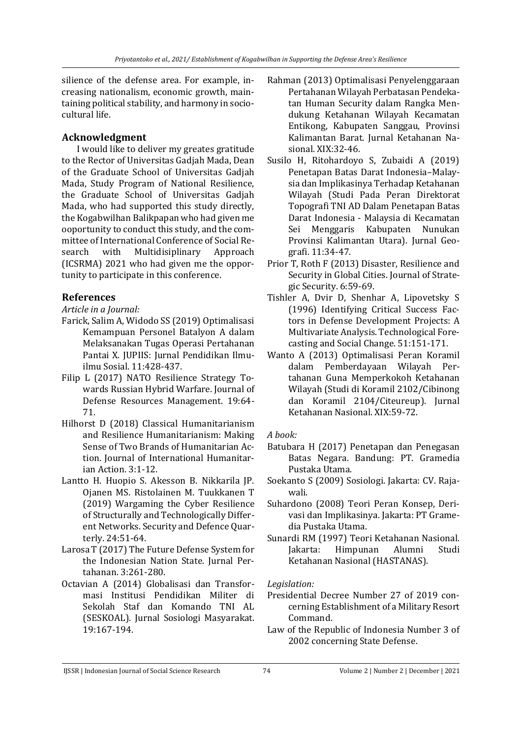silience of the defense area. For example, increasing nationalism, economic growth, maintaining political stability, and harmony in sociocultural life.

# **Acknowledgment**

I would like to deliver my greates gratitude to the Rector of Universitas Gadjah Mada, Dean of the Graduate School of Universitas Gadjah Mada, Study Program of National Resilience, the Graduate School of Universitas Gadjah Mada, who had supported this study directly, the Kogabwilhan Balikpapan who had given me ooportunity to conduct this study, and the committee of International Conference of Social Research with Multidisiplinary Approach (ICSRMA) 2021 who had given me the opportunity to participate in this conference.

# **References**

*Article in a Journal:*

- Farick, Salim A, Widodo SS (2019) Optimalisasi Kemampuan Personel Batalyon A dalam Melaksanakan Tugas Operasi Pertahanan Pantai X. JUPIIS: Jurnal Pendidikan Ilmuilmu Sosial. 11:428-437.
- Filip L (2017) NATO Resilience Strategy Towards Russian Hybrid Warfare. Journal of Defense Resources Management. 19:64- 71.
- Hilhorst D (2018) Classical Humanitarianism and Resilience Humanitarianism: Making Sense of Two Brands of Humanitarian Action. Journal of International Humanitarian Action. 3:1-12.
- Lantto H. Huopio S. Akesson B. Nikkarila JP. Ojanen MS. Ristolainen M. Tuukkanen T (2019) Wargaming the Cyber Resilience of Structurally and Technologically Different Networks. Security and Defence Quarterly. 24:51-64.
- Larosa T (2017) The Future Defense System for the Indonesian Nation State. Jurnal Pertahanan. 3:261-280.
- Octavian A (2014) Globalisasi dan Transformasi Institusi Pendidikan Militer di Sekolah Staf dan Komando TNI AL (SESKOAL). Jurnal Sosiologi Masyarakat. 19:167-194.
- Rahman (2013) Optimalisasi Penyelenggaraan Pertahanan Wilayah Perbatasan Pendekatan Human Security dalam Rangka Mendukung Ketahanan Wilayah Kecamatan Entikong, Kabupaten Sanggau, Provinsi Kalimantan Barat. Jurnal Ketahanan Nasional. XIX:32-46.
- Susilo H, Ritohardoyo S, Zubaidi A (2019) Penetapan Batas Darat Indonesia–Malaysia dan Implikasinya Terhadap Ketahanan Wilayah (Studi Pada Peran Direktorat Topografi TNI AD Dalam Penetapan Batas Darat Indonesia - Malaysia di Kecamatan Sei Menggaris Kabupaten Nunukan Provinsi Kalimantan Utara). Jurnal Geografi. 11:34-47.
- Prior T, Roth F (2013) Disaster, Resilience and Security in Global Cities. Journal of Strategic Security. 6:59-69.
- Tishler A, Dvir D, Shenhar A, Lipovetsky S (1996) Identifying Critical Success Factors in Defense Development Projects: A Multivariate Analysis. Technological Forecasting and Social Change. 51:151-171.
- Wanto A (2013) Optimalisasi Peran Koramil dalam Pemberdayaan Wilayah Pertahanan Guna Memperkokoh Ketahanan Wilayah (Studi di Koramil 2102/Cibinong dan Koramil 2104/Citeureup). Jurnal Ketahanan Nasional. XIX:59-72.

# *A book:*

- Batubara H (2017) Penetapan dan Penegasan Batas Negara. Bandung: PT. Gramedia Pustaka Utama.
- Soekanto S (2009) Sosiologi. Jakarta: CV. Rajawali.
- Suhardono (2008) Teori Peran Konsep, Derivasi dan Implikasinya. Jakarta: PT Gramedia Pustaka Utama.
- Sunardi RM (1997) Teori Ketahanan Nasional. Jakarta: Himpunan Alumni Studi Ketahanan Nasional (HASTANAS).

*Legislation:*

- Presidential Decree Number 27 of 2019 concerning Establishment of a Military Resort Command.
- Law of the Republic of Indonesia Number 3 of 2002 concerning State Defense.